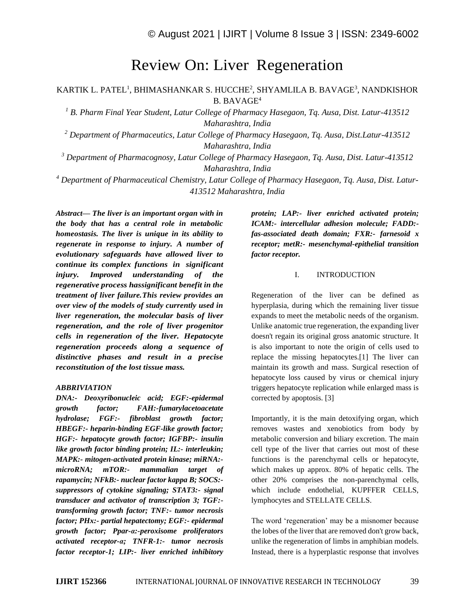# Review On: Liver Regeneration

KARTIK L. PATEL<sup>1</sup>, BHIMASHANKAR S. HUCCHE<sup>2</sup>, SHYAMLILA B. BAVAGE<sup>3</sup>, NANDKISHOR B. BAVAGE<sup>4</sup>

*<sup>1</sup> B. Pharm Final Year Student, Latur College of Pharmacy Hasegaon, Tq. Ausa, Dist. Latur-413512 Maharashtra, India*

*<sup>2</sup> Department of Pharmaceutics, Latur College of Pharmacy Hasegaon, Tq. Ausa, Dist.Latur-413512 Maharashtra, India*

*<sup>3</sup> Department of Pharmacognosy, Latur College of Pharmacy Hasegaon, Tq. Ausa, Dist. Latur-413512 Maharashtra, India*

*<sup>4</sup> Department of Pharmaceutical Chemistry, Latur College of Pharmacy Hasegaon, Tq. Ausa, Dist. Latur-413512 Maharashtra, India*

*Abstract— The liver is an important organ with in the body that has a central role in metabolic homeostasis. The liver is unique in its ability to regenerate in response to injury. A number of evolutionary safeguards have allowed liver to continue its complex functions in significant injury. Improved understanding of the regenerative process hassignificant benefit in the treatment of liver failure.This review provides an over view of the models of study currently used in liver regeneration, the molecular basis of liver regeneration, and the role of liver progenitor cells in regeneration of the liver. Hepatocyte regeneration proceeds along a sequence of distinctive phases and result in a precise reconstitution of the lost tissue mass.*

# *ABBRIVIATION*

*DNA:- Deoxyribonucleic acid; EGF:-epidermal growth factor; FAH:-fumarylacetoacetate hydrolase; FGF:- fibroblast growth factor; HBEGF:- heparin-binding EGF-like growth factor; HGF:- hepatocyte growth factor; IGFBP:- insulin like growth factor binding protein; IL:- interleukin; MAPK:- mitogen-activated protein kinase; miRNA: microRNA; mTOR:- mammalian target of rapamycin; NFkB:- nuclear factor kappa B; SOCS: suppressors of cytokine signaling; STAT3:- signal transducer and activator of transcription 3; TGF: transforming growth factor; TNF:- tumor necrosis factor; PHx:- partial hepatectomy; EGF:- epidermal growth factor; Ppar-α:-peroxisome proliferators activated receptor-α; TNFR-1:- tumor necrosis factor receptor-1; LIP:- liver enriched inhibitory* 

*protein; LAP:- liver enriched activated protein; ICAM:- intercellular adhesion molecule; FADD: fas-associated death domain; FXR:- farnesoid x receptor; metR:- mesenchymal-epithelial transition factor receptor.*

## I. INTRODUCTION

Regeneration of the liver can be defined as hyperplasia, during which the remaining liver tissue expands to meet the metabolic needs of the organism. Unlike anatomic true regeneration, the expanding liver doesn't regain its original gross anatomic structure. It is also important to note the origin of cells used to replace the missing hepatocytes.[1] The liver can maintain its growth and mass. Surgical resection of hepatocyte loss caused by virus or chemical injury triggers hepatocyte replication while enlarged mass is corrected by apoptosis. [3]

Importantly, it is the main detoxifying organ, which removes wastes and xenobiotics from body by metabolic conversion and biliary excretion. The main cell type of the liver that carries out most of these functions is the parenchymal cells or hepatocyte, which makes up approx. 80% of hepatic cells. The other 20% comprises the non-parenchymal cells, which include endothelial, KUPFFER CELLS, lymphocytes and STELLATE CELLS.

The word 'regeneration' may be a misnomer because the lobes of the liver that are removed don't grow back, unlike the regeneration of limbs in amphibian models. Instead, there is a hyperplastic response that involves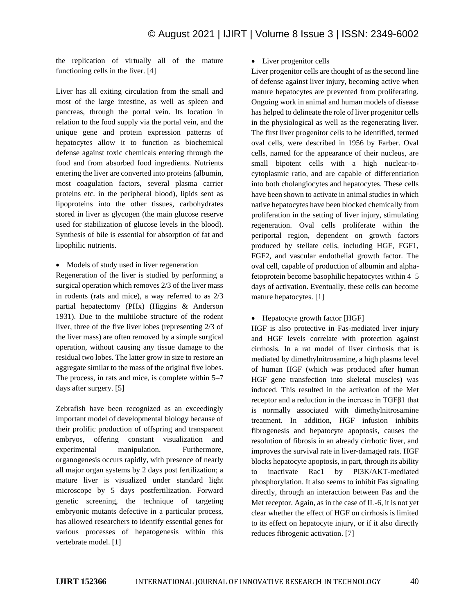the replication of virtually all of the mature functioning cells in the liver. [4]

Liver has all exiting circulation from the small and most of the large intestine, as well as spleen and pancreas, through the portal vein. Its location in relation to the food supply via the portal vein, and the unique gene and protein expression patterns of hepatocytes allow it to function as biochemical defense against toxic chemicals entering through the food and from absorbed food ingredients. Nutrients entering the liver are converted into proteins (albumin, most coagulation factors, several plasma carrier proteins etc. in the peripheral blood), lipids sent as lipoproteins into the other tissues, carbohydrates stored in liver as glycogen (the main glucose reserve used for stabilization of glucose levels in the blood). Synthesis of bile is essential for absorption of fat and lipophilic nutrients.

• Models of study used in liver regeneration

Regeneration of the liver is studied by performing a surgical operation which removes 2/3 of the liver mass in rodents (rats and mice), a way referred to as 2/3 partial hepatectomy (PHx) (Higgins & Anderson 1931). Due to the multilobe structure of the rodent liver, three of the five liver lobes (representing 2/3 of the liver mass) are often removed by a simple surgical operation, without causing any tissue damage to the residual two lobes. The latter grow in size to restore an aggregate similar to the mass of the original five lobes. The process, in rats and mice, is complete within 5–7 days after surgery. [5]

Zebrafish have been recognized as an exceedingly important model of developmental biology because of their prolific production of offspring and transparent embryos, offering constant visualization and experimental manipulation. Furthermore, organogenesis occurs rapidly, with presence of nearly all major organ systems by 2 days post fertilization; a mature liver is visualized under standard light microscope by 5 days postfertilization. Forward genetic screening, the technique of targeting embryonic mutants defective in a particular process, has allowed researchers to identify essential genes for various processes of hepatogenesis within this vertebrate model. [1]

# • Liver progenitor cells

Liver progenitor cells are thought of as the second line of defense against liver injury, becoming active when mature hepatocytes are prevented from proliferating. Ongoing work in animal and human models of disease has helped to delineate the role of liver progenitor cells in the physiological as well as the regenerating liver. The first liver progenitor cells to be identified, termed oval cells, were described in 1956 by Farber. Oval cells, named for the appearance of their nucleus, are small bipotent cells with a high nuclear-tocytoplasmic ratio, and are capable of differentiation into both cholangiocytes and hepatocytes. These cells have been shown to activate in animal studies in which native hepatocytes have been blocked chemically from proliferation in the setting of liver injury, stimulating regeneration. Oval cells proliferate within the periportal region, dependent on growth factors produced by stellate cells, including HGF, FGF1, FGF2, and vascular endothelial growth factor. The oval cell, capable of production of albumin and alphafetoprotein become basophilic hepatocytes within 4–5 days of activation. Eventually, these cells can become mature hepatocytes. [1]

# • Hepatocyte growth factor [HGF]

HGF is also protective in Fas-mediated liver injury and HGF levels correlate with protection against cirrhosis. In a rat model of liver cirrhosis that is mediated by dimethylnitrosamine, a high plasma level of human HGF (which was produced after human HGF gene transfection into skeletal muscles) was induced. This resulted in the activation of the Met receptor and a reduction in the increase in TGFβ1 that is normally associated with dimethylnitrosamine treatment. In addition, HGF infusion inhibits fibrogenesis and hepatocyte apoptosis, causes the resolution of fibrosis in an already cirrhotic liver, and improves the survival rate in liver-damaged rats. HGF blocks hepatocyte apoptosis, in part, through its ability to inactivate Rac1 by PI3K/AKT-mediated phosphorylation. It also seems to inhibit Fas signaling directly, through an interaction between Fas and the Met receptor. Again, as in the case of IL-6, it is not yet clear whether the effect of HGF on cirrhosis is limited to its effect on hepatocyte injury, or if it also directly reduces fibrogenic activation. [7]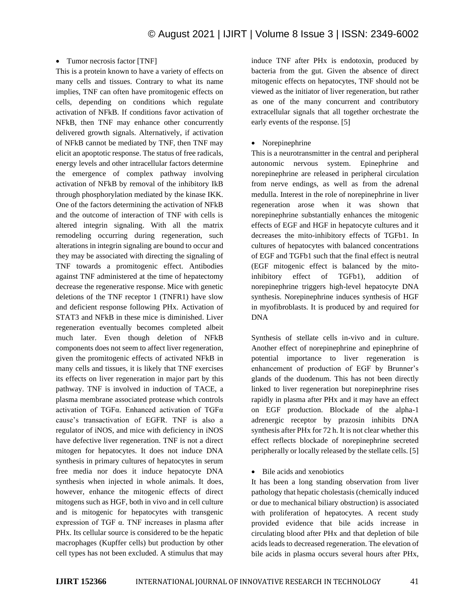#### • Tumor necrosis factor [TNF]

This is a protein known to have a variety of effects on many cells and tissues. Contrary to what its name implies, TNF can often have promitogenic effects on cells, depending on conditions which regulate activation of NFkB. If conditions favor activation of NFkB, then TNF may enhance other concurrently delivered growth signals. Alternatively, if activation of NFkB cannot be mediated by TNF, then TNF may elicit an apoptotic response. The status of free radicals, energy levels and other intracellular factors determine the emergence of complex pathway involving activation of NFkB by removal of the inhibitory IkB through phosphorylation mediated by the kinase IKK. One of the factors determining the activation of NFkB and the outcome of interaction of TNF with cells is altered integrin signaling. With all the matrix remodeling occurring during regeneration, such alterations in integrin signaling are bound to occur and they may be associated with directing the signaling of TNF towards a promitogenic effect. Antibodies against TNF administered at the time of hepatectomy decrease the regenerative response. Mice with genetic deletions of the TNF receptor 1 (TNFR1) have slow and deficient response following PHx. Activation of STAT3 and NFkB in these mice is diminished. Liver regeneration eventually becomes completed albeit much later. Even though deletion of NFkB components does not seem to affect liver regeneration, given the promitogenic effects of activated NFkB in many cells and tissues, it is likely that TNF exercises its effects on liver regeneration in major part by this pathway. TNF is involved in induction of TACE, a plasma membrane associated protease which controls activation of TGFα. Enhanced activation of TGFα cause's transactivation of EGFR. TNF is also a regulator of iNOS, and mice with deficiency in iNOS have defective liver regeneration. TNF is not a direct mitogen for hepatocytes. It does not induce DNA synthesis in primary cultures of hepatocytes in serum free media nor does it induce hepatocyte DNA synthesis when injected in whole animals. It does, however, enhance the mitogenic effects of direct mitogens such as HGF, both in vivo and in cell culture and is mitogenic for hepatocytes with transgenic expression of TGF α. TNF increases in plasma after PHx. Its cellular source is considered to be the hepatic macrophages (Kupffer cells) but production by other cell types has not been excluded. A stimulus that may induce TNF after PHx is endotoxin, produced by bacteria from the gut. Given the absence of direct mitogenic effects on hepatocytes, TNF should not be viewed as the initiator of liver regeneration, but rather as one of the many concurrent and contributory extracellular signals that all together orchestrate the early events of the response. [5]

#### • Norepinephrine

This is a neurotransmitter in the central and peripheral autonomic nervous system. Epinephrine and norepinephrine are released in peripheral circulation from nerve endings, as well as from the adrenal medulla. Interest in the role of norepinephrine in liver regeneration arose when it was shown that norepinephrine substantially enhances the mitogenic effects of EGF and HGF in hepatocyte cultures and it decreases the mito-inhibitory effects of TGFb1. In cultures of hepatocytes with balanced concentrations of EGF and TGFb1 such that the final effect is neutral (EGF mitogenic effect is balanced by the mitoinhibitory effect of TGFb1), addition of norepinephrine triggers high-level hepatocyte DNA synthesis. Norepinephrine induces synthesis of HGF in myofibroblasts. It is produced by and required for DNA

Synthesis of stellate cells in-vivo and in culture. Another effect of norepinephrine and epinephrine of potential importance to liver regeneration is enhancement of production of EGF by Brunner's glands of the duodenum. This has not been directly linked to liver regeneration but norepinephrine rises rapidly in plasma after PHx and it may have an effect on EGF production. Blockade of the alpha-1 adrenergic receptor by prazosin inhibits DNA synthesis after PHx for 72 h. It is not clear whether this effect reflects blockade of norepinephrine secreted peripherally or locally released by the stellate cells. [5]

#### • Bile acids and xenobiotics

It has been a long standing observation from liver pathology that hepatic cholestasis (chemically induced or due to mechanical biliary obstruction) is associated with proliferation of hepatocytes. A recent study provided evidence that bile acids increase in circulating blood after PHx and that depletion of bile acids leads to decreased regeneration. The elevation of bile acids in plasma occurs several hours after PHx,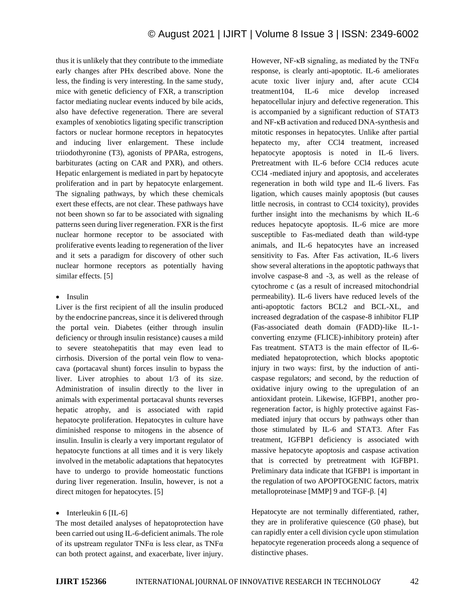thus it is unlikely that they contribute to the immediate early changes after PHx described above. None the less, the finding is very interesting. In the same study, mice with genetic deficiency of FXR, a transcription factor mediating nuclear events induced by bile acids, also have defective regeneration. There are several examples of xenobiotics ligating specific transcription factors or nuclear hormone receptors in hepatocytes and inducing liver enlargement. These include triiodothyronine (T3), agonists of PPARa, estrogens, barbiturates (acting on CAR and PXR), and others. Hepatic enlargement is mediated in part by hepatocyte proliferation and in part by hepatocyte enlargement. The signaling pathways, by which these chemicals exert these effects, are not clear. These pathways have not been shown so far to be associated with signaling patterns seen during liver regeneration. FXR is the first nuclear hormone receptor to be associated with proliferative events leading to regeneration of the liver and it sets a paradigm for discovery of other such nuclear hormone receptors as potentially having similar effects. [5]

# • Insulin

Liver is the first recipient of all the insulin produced by the endocrine pancreas, since it is delivered through the portal vein. Diabetes (either through insulin deficiency or through insulin resistance) causes a mild to severe steatohepatitis that may even lead to cirrhosis. Diversion of the portal vein flow to venacava (portacaval shunt) forces insulin to bypass the liver. Liver atrophies to about 1/3 of its size. Administration of insulin directly to the liver in animals with experimental portacaval shunts reverses hepatic atrophy, and is associated with rapid hepatocyte proliferation. Hepatocytes in culture have diminished response to mitogens in the absence of insulin. Insulin is clearly a very important regulator of hepatocyte functions at all times and it is very likely involved in the metabolic adaptations that hepatocytes have to undergo to provide homeostatic functions during liver regeneration. Insulin, however, is not a direct mitogen for hepatocytes. [5]

#### • Interleukin  $6$  [IL-6]

The most detailed analyses of hepatoprotection have been carried out using IL-6-deficient animals. The role of its upstream regulator TNF $\alpha$  is less clear, as TNF $\alpha$ can both protect against, and exacerbate, liver injury. However, NF- $\kappa$ B signaling, as mediated by the TNF $\alpha$ response, is clearly anti-apoptotic. IL-6 ameliorates acute toxic liver injury and, after acute CCl4 treatment104, IL-6 mice develop increased hepatocellular injury and defective regeneration. This is accompanied by a significant reduction of STAT3 and NF-κB activation and reduced DNA-synthesis and mitotic responses in hepatocytes. Unlike after partial hepatecto my, after CCl4 treatment, increased hepatocyte apoptosis is noted in IL-6 livers. Pretreatment with IL-6 before CCl4 reduces acute CCl4 -mediated injury and apoptosis, and accelerates regeneration in both wild type and IL-6 livers. Fas ligation, which causes mainly apoptosis (but causes little necrosis, in contrast to CCl4 toxicity), provides further insight into the mechanisms by which IL-6 reduces hepatocyte apoptosis. IL-6 mice are more susceptible to Fas-mediated death than wild-type animals, and IL-6 hepatocytes have an increased sensitivity to Fas. After Fas activation, IL-6 livers show several alterations in the apoptotic pathways that involve caspase-8 and -3, as well as the release of cytochrome c (as a result of increased mitochondrial permeability). IL-6 livers have reduced levels of the anti-apoptotic factors BCL2 and BCL-XL, and increased degradation of the caspase-8 inhibitor FLIP (Fas-associated death domain (FADD)-like IL-1 converting enzyme (FLICE)-inhibitory protein) after Fas treatment. STAT3 is the main effector of IL-6 mediated hepatoprotection, which blocks apoptotic injury in two ways: first, by the induction of anticaspase regulators; and second, by the reduction of oxidative injury owing to the upregulation of an antioxidant protein. Likewise, IGFBP1, another proregeneration factor, is highly protective against Fasmediated injury that occurs by pathways other than those stimulated by IL-6 and STAT3. After Fas treatment, IGFBP1 deficiency is associated with massive hepatocyte apoptosis and caspase activation that is corrected by pretreatment with IGFBP1. Preliminary data indicate that IGFBP1 is important in the regulation of two APOPTOGENIC factors, matrix metalloproteinase [MMP] 9 and TGF-β. [4]

Hepatocyte are not terminally differentiated, rather, they are in proliferative quiescence (G0 phase), but can rapidly enter a cell division cycle upon stimulation hepatocyte regeneration proceeds along a sequence of distinctive phases.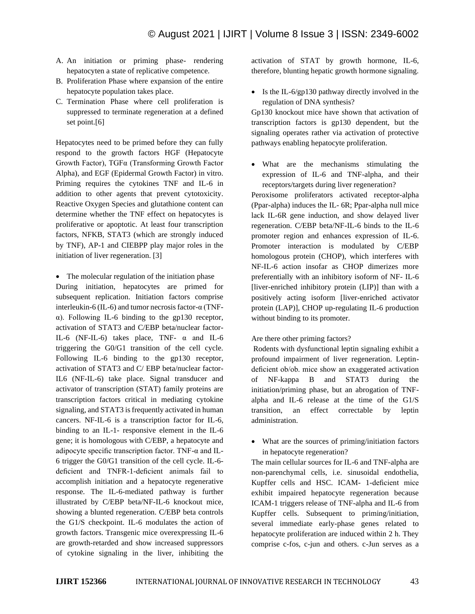- A. An initiation or priming phase- rendering hepatocyten a state of replicative competence.
- B. Proliferation Phase where expansion of the entire hepatocyte population takes place.
- C. Termination Phase where cell proliferation is suppressed to terminate regeneration at a defined set point.[6]

Hepatocytes need to be primed before they can fully respond to the growth factors HGF (Hepatocyte Growth Factor), TGFα (Transforming Growth Factor Alpha), and EGF (Epidermal Growth Factor) in vitro. Priming requires the cytokines TNF and IL-6 in addition to other agents that prevent cytotoxicity. Reactive Oxygen Species and glutathione content can determine whether the TNF effect on hepatocytes is proliferative or apoptotic. At least four transcription factors, NFKB, STAT3 (which are strongly induced by TNF), AP-1 and CIEBPP play major roles in the initiation of liver regeneration. [3]

• The molecular regulation of the initiation phase During initiation, hepatocytes are primed for subsequent replication. Initiation factors comprise interleukin-6 (IL-6) and tumor necrosis factor-α (TNFα). Following IL-6 binding to the gp130 receptor, activation of STAT3 and C/EBP beta/nuclear factor-IL-6 (NF-IL-6) takes place, TNF-  $\alpha$  and IL-6 triggering the G0/G1 transition of the cell cycle. Following IL-6 binding to the gp130 receptor, activation of STAT3 and C/ EBP beta/nuclear factor-IL6 (NF-IL-6) take place. Signal transducer and activator of transcription (STAT) family proteins are transcription factors critical in mediating cytokine signaling, and STAT3 is frequently activated in human cancers. NF-IL-6 is a transcription factor for IL-6, binding to an IL-1- responsive element in the IL-6 gene; it is homologous with C/EBP, a hepatocyte and adipocyte specific transcription factor. TNF-α and IL-6 trigger the G0/G1 transition of the cell cycle. IL-6 deficient and TNFR-1-deficient animals fail to accomplish initiation and a hepatocyte regenerative response. The IL-6-mediated pathway is further illustrated by C/EBP beta/NF-IL-6 knockout mice, showing a blunted regeneration. C/EBP beta controls the G1/S checkpoint. IL-6 modulates the action of growth factors. Transgenic mice overexpressing IL-6 are growth-retarded and show increased suppressors of cytokine signaling in the liver, inhibiting the

activation of STAT by growth hormone, IL-6, therefore, blunting hepatic growth hormone signaling.

• Is the IL-6/gp130 pathway directly involved in the regulation of DNA synthesis?

Gp130 knockout mice have shown that activation of transcription factors is gp130 dependent, but the signaling operates rather via activation of protective pathways enabling hepatocyte proliferation.

• What are the mechanisms stimulating the expression of IL-6 and TNF-alpha, and their receptors/targets during liver regeneration?

Peroxisome proliferators activated receptor-alpha (Ppar-alpha) induces the IL- 6R; Ppar-alpha null mice lack IL-6R gene induction, and show delayed liver regeneration. C/EBP beta/NF-IL-6 binds to the IL-6 promoter region and enhances expression of IL-6. Promoter interaction is modulated by C/EBP homologous protein (CHOP), which interferes with NF-IL-6 action insofar as CHOP dimerizes more preferentially with an inhibitory isoform of NF- IL-6 [liver-enriched inhibitory protein (LIP)] than with a positively acting isoform [liver-enriched activator protein (LAP)], CHOP up-regulating IL-6 production without binding to its promoter.

Are there other priming factors?

Rodents with dysfunctional leptin signaling exhibit a profound impairment of liver regeneration. Leptindeficient ob/ob. mice show an exaggerated activation of NF-kappa B and STAT3 during the initiation/priming phase, but an abrogation of TNFalpha and IL-6 release at the time of the G1/S transition, an effect correctable by leptin administration.

• What are the sources of priming/initiation factors in hepatocyte regeneration?

The main cellular sources for IL-6 and TNF-alpha are non-parenchymal cells, i.e. sinusoidal endothelia, Kupffer cells and HSC. ICAM- 1-deficient mice exhibit impaired hepatocyte regeneration because ICAM-1 triggers release of TNF-alpha and IL-6 from Kupffer cells. Subsequent to priming/initiation, several immediate early-phase genes related to hepatocyte proliferation are induced within 2 h. They comprise c-fos, c-jun and others. c-Jun serves as a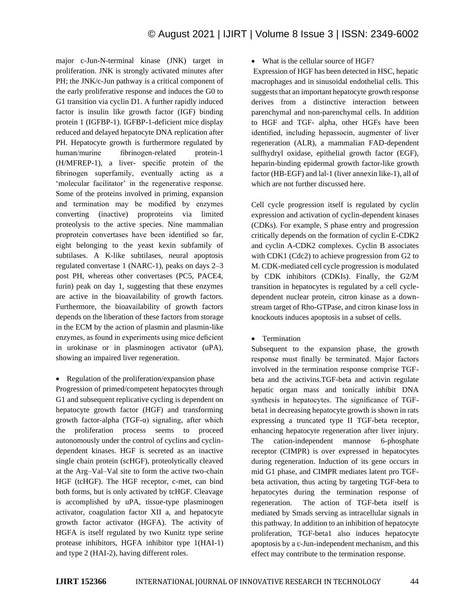major c-Jun-N-terminal kinase (JNK) target in proliferation. JNK is strongly activated minutes after PH; the JNK/c-Jun pathway is a critical component of the early proliferative response and induces the G0 to G1 transition via cyclin D1. A further rapidly induced factor is insulin like growth factor (IGF) binding protein 1 (IGFBP-1). IGFBP-1-deficient mice display reduced and delayed hepatocyte DNA replication after PH. Hepatocyte growth is furthermore regulated by human/murine fibrinogen-related protein-1 (H/MFREP-1), a liver- specific protein of the fibrinogen superfamily, eventually acting as a 'molecular facilitator' in the regenerative response. Some of the proteins involved in priming, expansion and termination may be modified by enzymes converting (inactive) proproteins via limited proteolysis to the active species. Nine mammalian proprotein convertases have been identified so far, eight belonging to the yeast kexin subfamily of subtilases. A K-like subtilases, neural apoptosis regulated convertase 1 (NARC-1), peaks on days 2–3 post PH, whereas other convertases (PC5, PACE4, furin) peak on day 1, suggesting that these enzymes are active in the bioavailability of growth factors. Furthermore, the bioavailability of growth factors depends on the liberation of these factors from storage in the ECM by the action of plasmin and plasmin-like enzymes, as found in experiments using mice deficient in urokinase or in plasminogen activator (uPA), showing an impaired liver regeneration.

• Regulation of the proliferation/expansion phase

Progression of primed/competent hepatocytes through G1 and subsequent replicative cycling is dependent on hepatocyte growth factor (HGF) and transforming growth factor-alpha ( $TGF-\alpha$ ) signaling, after which the proliferation process seems to proceed autonomously under the control of cyclins and cyclindependent kinases. HGF is secreted as an inactive single chain protein (scHGF), proteolytically cleaved at the Arg–Val–Val site to form the active two-chain HGF (tcHGF). The HGF receptor, c-met, can bind both forms, but is only activated by tcHGF. Cleavage is accomplished by uPA, tissue-type plasminogen activator, coagulation factor XII a, and hepatocyte growth factor activator (HGFA). The activity of HGFA is itself regulated by two Kunitz type serine protease inhibitors, HGFA inhibitor type 1(HAI-1) and type 2 (HAI-2), having different roles.

## • What is the cellular source of HGF?

Expression of HGF has been detected in HSC, hepatic macrophages and in sinusoidal endothelial cells. This suggests that an important hepatocyte growth response derives from a distinctive interaction between parenchymal and non-parenchymal cells. In addition to HGF and TGF- alpha, other HGFs have been identified, including hepassocin, augmenter of liver regeneration (ALR), a mammalian FAD-dependent sulfhydryl oxidase, epithelial growth factor (EGF), heparin-binding epidermal growth factor-like growth factor (HB-EGF) and lal-1 (liver annexin like-1), all of which are not further discussed here.

Cell cycle progression itself is regulated by cyclin expression and activation of cyclin-dependent kinases (CDKs). For example, S phase entry and progression critically depends on the formation of cyclin E-CDK2 and cyclin A-CDK2 complexes. Cyclin B associates with CDK1 (Cdc2) to achieve progression from G2 to M. CDK-mediated cell cycle progression is modulated by CDK inhibitors (CDKIs). Finally, the G2/M transition in hepatocytes is regulated by a cell cycledependent nuclear protein, citron kinase as a downstream target of Rho-GTPase, and citron kinase loss in knockouts induces apoptosis in a subset of cells.

• Termination

Subsequent to the expansion phase, the growth response must finally be terminated. Major factors involved in the termination response comprise TGFbeta and the activins.TGF-beta and activin regulate hepatic organ mass and tonically inhibit DNA synthesis in hepatocytes. The significance of TGFbeta1 in decreasing hepatocyte growth is shown in rats expressing a truncated type II TGF-beta receptor, enhancing hepatocyte regeneration after liver injury. The cation-independent mannose 6-phosphate receptor (CIMPR) is over expressed in hepatocytes during regeneration. Induction of its gene occurs in mid G1 phase, and CIMPR mediates latent pro TGFbeta activation, thus acting by targeting TGF-beta to hepatocytes during the termination response of regeneration. The action of TGF-beta itself is mediated by Smads serving as intracellular signals in this pathway. In addition to an inhibition of hepatocyte proliferation, TGF-beta1 also induces hepatocyte apoptosis by a c-Jun-independent mechanism, and this effect may contribute to the termination response.